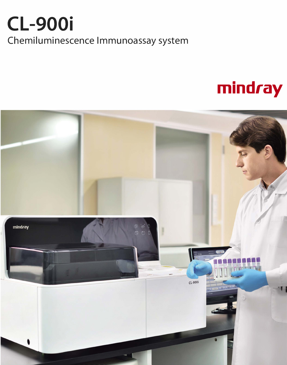## **CL-900i** Chemiluminescence Immunoassay system

# mindray